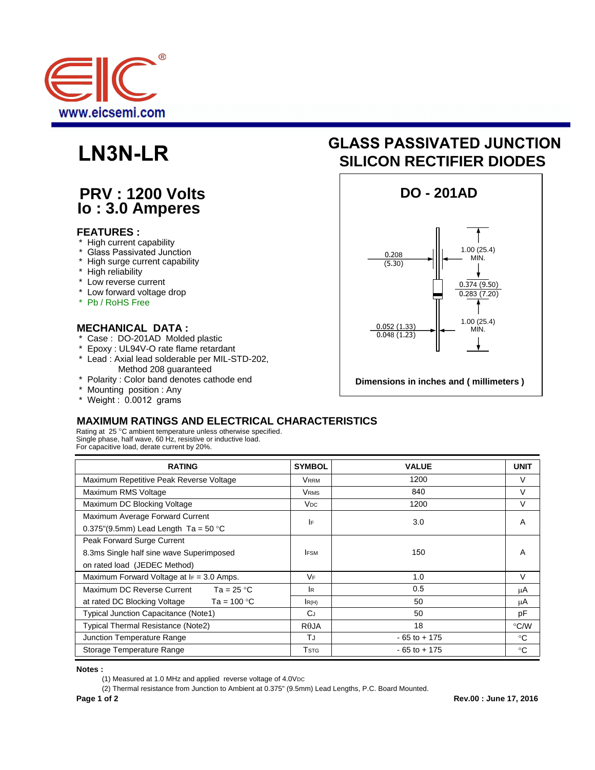

## **PRV : 1200 Volts Io : 3.0 Amperes**

#### **FEATURES :**

- High current capability
- Glass Passivated Junction
- High surge current capability
- \* High reliability
- \* Low reverse current
- \* Low forward voltage drop
- \* Pb / RoHS Free

#### **MECHANICAL DATA :**

- \* Case: DO-201AD Molded plastic<br>\* Epoxy: UL94V-O rate flame retard
- \* Epoxy : UL94V-O rate flame retardant
- Lead : Axial lead solderable per MIL-STD-202,
	- Method 208 guaranteed
- \* Polarity : Color band denotes cathode end
- \* Mounting position : Any
- \* Weight : 0.0012 grams

# **LN3N-LR SILICON RECTIFIER DIODES GLASS PASSIVATED JUNCTION**



### **MAXIMUM RATINGS AND ELECTRICAL CHARACTERISTICS**

Rating at 25 °C ambient temperature unless otherwise specified. Single phase, half wave, 60 Hz, resistive or inductive load. For capacitive load, derate current by 20%.

| <b>RATING</b>                               | <b>SYMBOL</b>         | <b>VALUE</b>    | <b>UNIT</b>  |
|---------------------------------------------|-----------------------|-----------------|--------------|
| Maximum Repetitive Peak Reverse Voltage     | Vrrm                  | 1200            | $\vee$       |
| Maximum RMS Voltage                         | VRMS                  | 840             | $\vee$       |
| Maximum DC Blocking Voltage                 | <b>V<sub>DC</sub></b> | 1200            | V            |
| Maximum Average Forward Current             | I۴                    | 3.0             | A            |
| 0.375"(9.5mm) Lead Length Ta = $50 °C$      |                       |                 |              |
| Peak Forward Surge Current                  |                       |                 |              |
| 8.3ms Single half sine wave Superimposed    | <b>IFSM</b>           | 150             | A            |
| on rated load (JEDEC Method)                |                       |                 |              |
| Maximum Forward Voltage at IF = 3.0 Amps.   | VF                    | 1.0             | $\vee$       |
| Maximum DC Reverse Current $Ta = 25 °C$     | <b>IR</b>             | 0.5             | μA           |
| Ta = 100 °C<br>at rated DC Blocking Voltage | IR(H)                 | 50              | μA           |
| Typical Junction Capacitance (Note1)        | $C_J$                 | 50              | pF           |
| Typical Thermal Resistance (Note2)          | $R\theta$ JA          | 18              | °C/W         |
| Junction Temperature Range                  | ТJ                    | $-65$ to $+175$ | $^{\circ}$ C |
| Storage Temperature Range                   | Tstg                  | $-65$ to $+175$ | $^{\circ}C$  |

**Notes :** 

(2) Thermal resistance from Junction to Ambient at 0.375" (9.5mm) Lead Lengths, P.C. Board Mounted.

<sup>(1)</sup> Measured at 1.0 MHz and applied reverse voltage of 4.0VDC